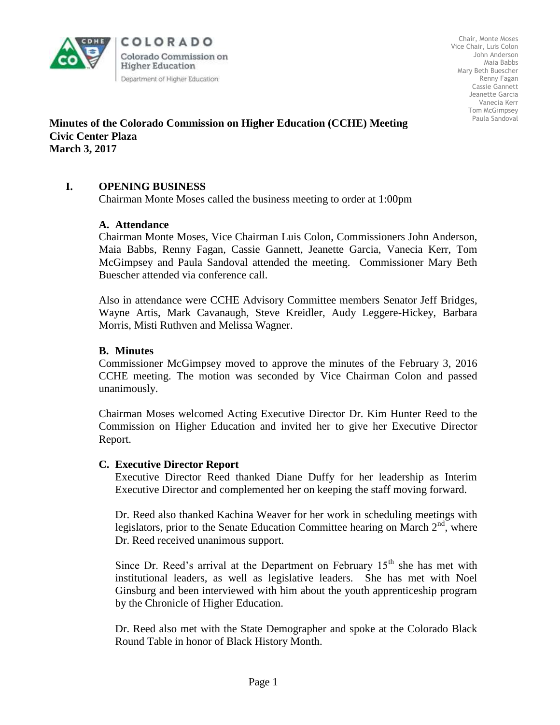

COLORADO Colorado Commission on **Higher Education** Department of Higher Education

Chair, Monte Moses Vice Chair, Luis Colon John Anderson Maia Babbs Mary Beth Buescher Renny Fagan Cassie Gannett Jeanette Garcia Vanecia Kerr Tom McGimpsey Paula Sandoval

#### **Minutes of the Colorado Commission on Higher Education (CCHE) Meeting Civic Center Plaza March 3, 2017**

#### **I. OPENING BUSINESS**

Chairman Monte Moses called the business meeting to order at 1:00pm

#### **A. Attendance**

Chairman Monte Moses, Vice Chairman Luis Colon, Commissioners John Anderson, Maia Babbs, Renny Fagan, Cassie Gannett, Jeanette Garcia, Vanecia Kerr, Tom McGimpsey and Paula Sandoval attended the meeting. Commissioner Mary Beth Buescher attended via conference call.

Also in attendance were CCHE Advisory Committee members Senator Jeff Bridges, Wayne Artis, Mark Cavanaugh, Steve Kreidler, Audy Leggere-Hickey, Barbara Morris, Misti Ruthven and Melissa Wagner.

#### **B. Minutes**

Commissioner McGimpsey moved to approve the minutes of the February 3, 2016 CCHE meeting. The motion was seconded by Vice Chairman Colon and passed unanimously.

 Chairman Moses welcomed Acting Executive Director Dr. Kim Hunter Reed to the Commission on Higher Education and invited her to give her Executive Director Report.

#### **C. Executive Director Report**

Executive Director Reed thanked Diane Duffy for her leadership as Interim Executive Director and complemented her on keeping the staff moving forward.

Dr. Reed also thanked Kachina Weaver for her work in scheduling meetings with legislators, prior to the Senate Education Committee hearing on March  $2<sup>nd</sup>$ , where Dr. Reed received unanimous support.

Since Dr. Reed's arrival at the Department on February  $15<sup>th</sup>$  she has met with institutional leaders, as well as legislative leaders. She has met with Noel Ginsburg and been interviewed with him about the youth apprenticeship program by the Chronicle of Higher Education.

Dr. Reed also met with the State Demographer and spoke at the Colorado Black Round Table in honor of Black History Month.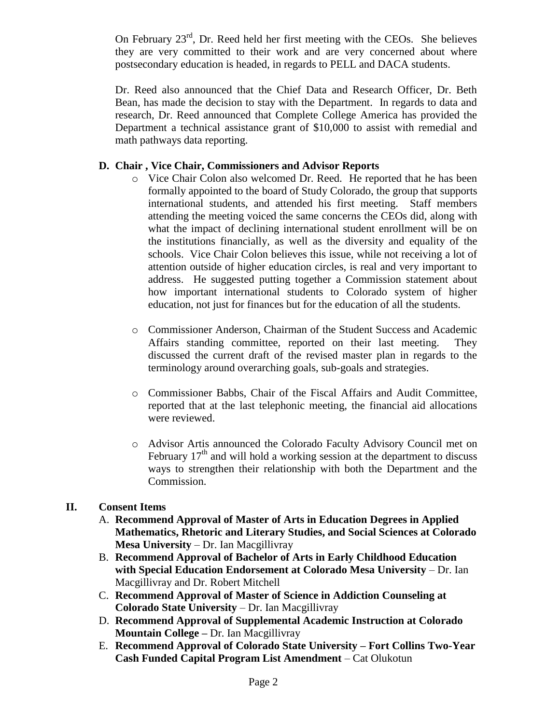On February  $23<sup>rd</sup>$ , Dr. Reed held her first meeting with the CEOs. She believes they are very committed to their work and are very concerned about where postsecondary education is headed, in regards to PELL and DACA students.

Dr. Reed also announced that the Chief Data and Research Officer, Dr. Beth Bean, has made the decision to stay with the Department. In regards to data and research, Dr. Reed announced that Complete College America has provided the Department a technical assistance grant of \$10,000 to assist with remedial and math pathways data reporting.

## **D. Chair , Vice Chair, Commissioners and Advisor Reports**

- o Vice Chair Colon also welcomed Dr. Reed. He reported that he has been formally appointed to the board of Study Colorado, the group that supports international students, and attended his first meeting. Staff members attending the meeting voiced the same concerns the CEOs did, along with what the impact of declining international student enrollment will be on the institutions financially, as well as the diversity and equality of the schools. Vice Chair Colon believes this issue, while not receiving a lot of attention outside of higher education circles, is real and very important to address. He suggested putting together a Commission statement about how important international students to Colorado system of higher education, not just for finances but for the education of all the students.
- o Commissioner Anderson, Chairman of the Student Success and Academic Affairs standing committee, reported on their last meeting. They discussed the current draft of the revised master plan in regards to the terminology around overarching goals, sub-goals and strategies.
- o Commissioner Babbs, Chair of the Fiscal Affairs and Audit Committee, reported that at the last telephonic meeting, the financial aid allocations were reviewed.
- o Advisor Artis announced the Colorado Faculty Advisory Council met on February  $17<sup>th</sup>$  and will hold a working session at the department to discuss ways to strengthen their relationship with both the Department and the Commission.

## **II. Consent Items**

- A. **Recommend Approval of Master of Arts in Education Degrees in Applied Mathematics, Rhetoric and Literary Studies, and Social Sciences at Colorado Mesa University** – Dr. Ian Macgillivray
- B. **Recommend Approval of Bachelor of Arts in Early Childhood Education with Special Education Endorsement at Colorado Mesa University** – Dr. Ian Macgillivray and Dr. Robert Mitchell
- C. **Recommend Approval of Master of Science in Addiction Counseling at Colorado State University** – Dr. Ian Macgillivray
- D. **Recommend Approval of Supplemental Academic Instruction at Colorado Mountain College** *–* Dr. Ian Macgillivray
- E. **Recommend Approval of Colorado State University – Fort Collins Two-Year Cash Funded Capital Program List Amendment** – Cat Olukotun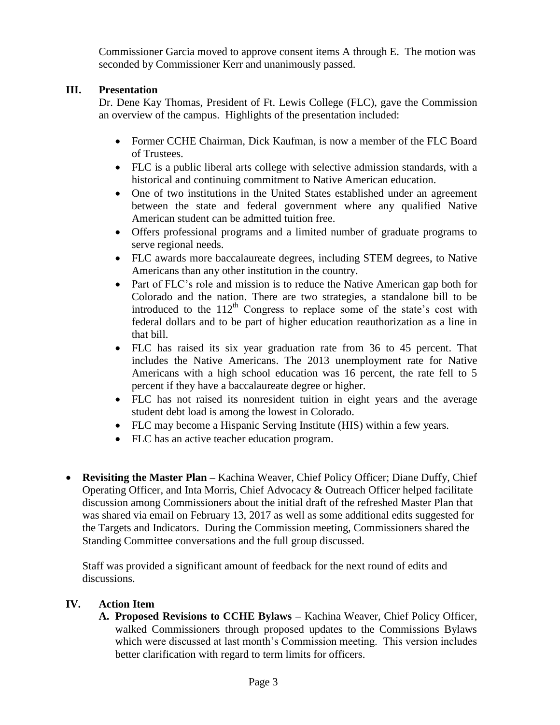Commissioner Garcia moved to approve consent items A through E. The motion was seconded by Commissioner Kerr and unanimously passed.

# **III. Presentation**

Dr. Dene Kay Thomas, President of Ft. Lewis College (FLC), gave the Commission an overview of the campus. Highlights of the presentation included:

- Former CCHE Chairman, Dick Kaufman, is now a member of the FLC Board of Trustees.
- FLC is a public liberal arts college with selective admission standards, with a historical and continuing commitment to Native American education.
- One of two institutions in the United States established under an agreement between the state and federal government where any qualified Native American student can be admitted tuition free.
- Offers professional programs and a limited number of graduate programs to serve regional needs.
- FLC awards more baccalaureate degrees, including STEM degrees, to Native Americans than any other institution in the country.
- Part of FLC's role and mission is to reduce the Native American gap both for Colorado and the nation. There are two strategies, a standalone bill to be introduced to the  $112<sup>th</sup>$  Congress to replace some of the state's cost with federal dollars and to be part of higher education reauthorization as a line in that bill.
- FLC has raised its six year graduation rate from 36 to 45 percent. That includes the Native Americans. The 2013 unemployment rate for Native Americans with a high school education was 16 percent, the rate fell to 5 percent if they have a baccalaureate degree or higher.
- FLC has not raised its nonresident tuition in eight years and the average student debt load is among the lowest in Colorado.
- FLC may become a Hispanic Serving Institute (HIS) within a few years.
- FLC has an active teacher education program.
- **Revisiting the Master Plan –** Kachina Weaver, Chief Policy Officer; Diane Duffy, Chief Operating Officer, and Inta Morris, Chief Advocacy & Outreach Officer helped facilitate discussion among Commissioners about the initial draft of the refreshed Master Plan that was shared via email on February 13, 2017 as well as some additional edits suggested for the Targets and Indicators. During the Commission meeting, Commissioners shared the Standing Committee conversations and the full group discussed.

Staff was provided a significant amount of feedback for the next round of edits and discussions.

## **IV. Action Item**

**A. Proposed Revisions to CCHE Bylaws –** Kachina Weaver, Chief Policy Officer, walked Commissioners through proposed updates to the Commissions Bylaws which were discussed at last month's Commission meeting. This version includes better clarification with regard to term limits for officers.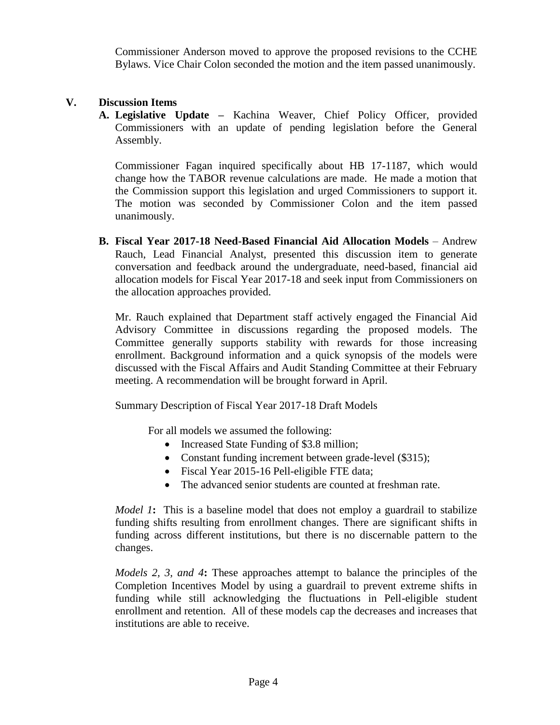Commissioner Anderson moved to approve the proposed revisions to the CCHE Bylaws. Vice Chair Colon seconded the motion and the item passed unanimously.

## **V. Discussion Items**

**A. Legislative Update –** Kachina Weaver, Chief Policy Officer, provided Commissioners with an update of pending legislation before the General Assembly.

Commissioner Fagan inquired specifically about HB 17-1187, which would change how the TABOR revenue calculations are made. He made a motion that the Commission support this legislation and urged Commissioners to support it. The motion was seconded by Commissioner Colon and the item passed unanimously.

**B. Fiscal Year 2017-18 Need-Based Financial Aid Allocation Models** – Andrew Rauch, Lead Financial Analyst, presented this discussion item to generate conversation and feedback around the undergraduate, need-based, financial aid allocation models for Fiscal Year 2017-18 and seek input from Commissioners on the allocation approaches provided.

Mr. Rauch explained that Department staff actively engaged the Financial Aid Advisory Committee in discussions regarding the proposed models. The Committee generally supports stability with rewards for those increasing enrollment. Background information and a quick synopsis of the models were discussed with the Fiscal Affairs and Audit Standing Committee at their February meeting. A recommendation will be brought forward in April.

Summary Description of Fiscal Year 2017-18 Draft Models

For all models we assumed the following:

- Increased State Funding of \$3.8 million;
- Constant funding increment between grade-level (\$315);
- Fiscal Year 2015-16 Pell-eligible FTE data;
- The advanced senior students are counted at freshman rate.

*Model 1*: This is a baseline model that does not employ a guardrail to stabilize funding shifts resulting from enrollment changes. There are significant shifts in funding across different institutions, but there is no discernable pattern to the changes.

*Models 2, 3, and 4***:** These approaches attempt to balance the principles of the Completion Incentives Model by using a guardrail to prevent extreme shifts in funding while still acknowledging the fluctuations in Pell-eligible student enrollment and retention. All of these models cap the decreases and increases that institutions are able to receive.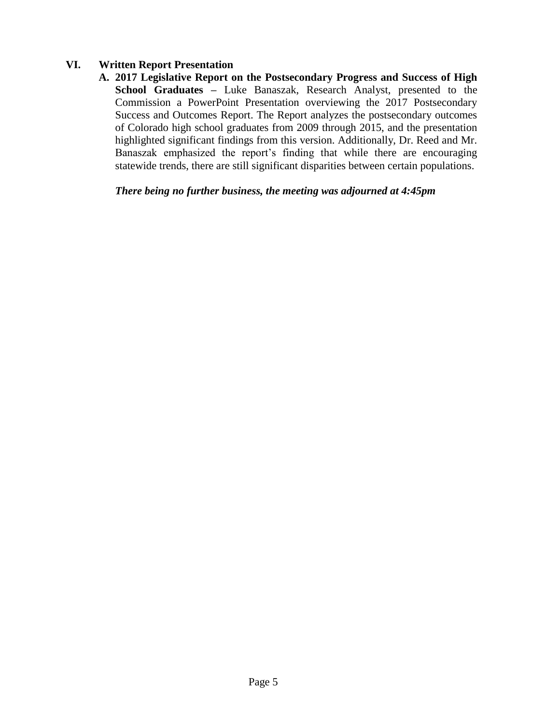## **VI. Written Report Presentation**

**A. 2017 Legislative Report on the Postsecondary Progress and Success of High School Graduates –** Luke Banaszak, Research Analyst, presented to the Commission a PowerPoint Presentation overviewing the 2017 Postsecondary Success and Outcomes Report. The Report analyzes the postsecondary outcomes of Colorado high school graduates from 2009 through 2015, and the presentation highlighted significant findings from this version. Additionally, Dr. Reed and Mr. Banaszak emphasized the report's finding that while there are encouraging statewide trends, there are still significant disparities between certain populations.

*There being no further business, the meeting was adjourned at 4:45pm*